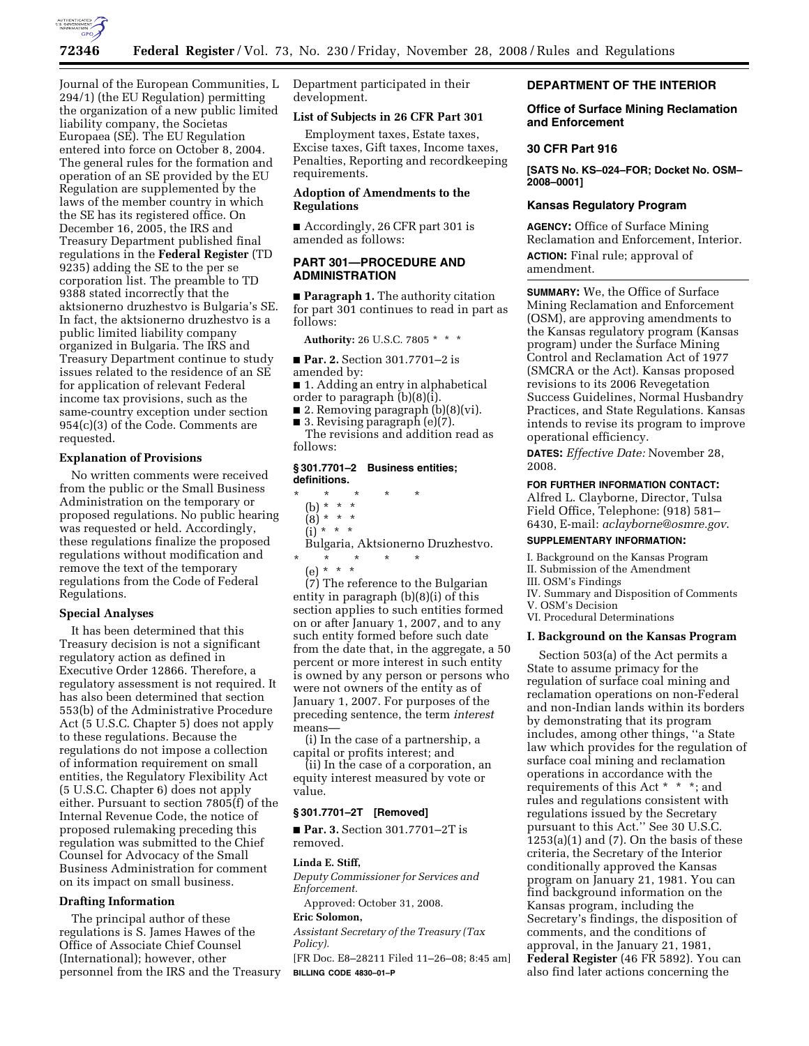

Journal of the European Communities, L 294/1) (the EU Regulation) permitting the organization of a new public limited liability company, the Societas Europaea (SE). The EU Regulation entered into force on October 8, 2004. The general rules for the formation and operation of an SE provided by the EU Regulation are supplemented by the laws of the member country in which the SE has its registered office. On December 16, 2005, the IRS and Treasury Department published final regulations in the **Federal Register** (TD 9235) adding the SE to the per se corporation list. The preamble to TD 9388 stated incorrectly that the aktsionerno druzhestvo is Bulgaria's SE. In fact, the aktsionerno druzhestvo is a public limited liability company organized in Bulgaria. The IRS and Treasury Department continue to study issues related to the residence of an SE for application of relevant Federal income tax provisions, such as the same-country exception under section 954(c)(3) of the Code. Comments are requested.

# **Explanation of Provisions**

No written comments were received from the public or the Small Business Administration on the temporary or proposed regulations. No public hearing was requested or held. Accordingly, these regulations finalize the proposed regulations without modification and remove the text of the temporary regulations from the Code of Federal Regulations.

### **Special Analyses**

It has been determined that this Treasury decision is not a significant regulatory action as defined in Executive Order 12866. Therefore, a regulatory assessment is not required. It has also been determined that section 553(b) of the Administrative Procedure Act (5 U.S.C. Chapter 5) does not apply to these regulations. Because the regulations do not impose a collection of information requirement on small entities, the Regulatory Flexibility Act (5 U.S.C. Chapter 6) does not apply either. Pursuant to section 7805(f) of the Internal Revenue Code, the notice of proposed rulemaking preceding this regulation was submitted to the Chief Counsel for Advocacy of the Small Business Administration for comment on its impact on small business.

### **Drafting Information**

The principal author of these regulations is S. James Hawes of the Office of Associate Chief Counsel (International); however, other personnel from the IRS and the Treasury Department participated in their development.

#### **List of Subjects in 26 CFR Part 301**

Employment taxes, Estate taxes, Excise taxes, Gift taxes, Income taxes, Penalties, Reporting and recordkeeping requirements.

## **Adoption of Amendments to the Regulations**

■ Accordingly, 26 CFR part 301 is amended as follows:

# **PART 301—PROCEDURE AND ADMINISTRATION**

■ **Paragraph 1.** The authority citation for part 301 continues to read in part as follows:

**Authority:** 26 U.S.C. 7805 \* \* \*

■ **Par. 2.** Section 301.7701–2 is amended by:

- 1. Adding an entry in alphabetical order to paragraph  $(b)(8)(i)$ .
- 2. Removing paragraph (b)(8)(vi).
- 3. Revising paragraph (e)(7).

The revisions and addition read as follows:

#### **§ 301.7701–2 Business entities; definitions.**

- \* \* \* \* \* (b) \* \* \*  $(8)^*$  \* \*  $(i) * * * *$ Bulgaria, Aktsionerno Druzhestvo. \* \* \* \* \*
	- (e) \* \* \*

(7) The reference to the Bulgarian entity in paragraph (b)(8)(i) of this section applies to such entities formed on or after January 1, 2007, and to any such entity formed before such date from the date that, in the aggregate, a 50 percent or more interest in such entity is owned by any person or persons who were not owners of the entity as of January 1, 2007. For purposes of the preceding sentence, the term *interest*  means—

(i) In the case of a partnership, a capital or profits interest; and

(ii) In the case of a corporation, an equity interest measured by vote or value.

### **§ 301.7701–2T [Removed]**

■ **Par. 3.** Section 301.7701–2T is removed.

#### **Linda E. Stiff,**

*Deputy Commissioner for Services and Enforcement.* 

Approved: October 31, 2008.

### **Eric Solomon,**

*Assistant Secretary of the Treasury (Tax Policy).* 

[FR Doc. E8–28211 Filed 11–26–08; 8:45 am] **BILLING CODE 4830–01–P** 

### **DEPARTMENT OF THE INTERIOR**

### **Office of Surface Mining Reclamation and Enforcement**

### **30 CFR Part 916**

**[SATS No. KS–024–FOR; Docket No. OSM– 2008–0001]** 

#### **Kansas Regulatory Program**

**AGENCY:** Office of Surface Mining Reclamation and Enforcement, Interior. **ACTION:** Final rule; approval of amendment.

**SUMMARY:** We, the Office of Surface Mining Reclamation and Enforcement (OSM), are approving amendments to the Kansas regulatory program (Kansas program) under the Surface Mining Control and Reclamation Act of 1977 (SMCRA or the Act). Kansas proposed revisions to its 2006 Revegetation Success Guidelines, Normal Husbandry Practices, and State Regulations. Kansas intends to revise its program to improve operational efficiency.

**DATES:** *Effective Date:* November 28, 2008.

#### **FOR FURTHER INFORMATION CONTACT:**

Alfred L. Clayborne, Director, Tulsa Field Office, Telephone: (918) 581– 6430, E-mail: *aclayborne@osmre.gov*.

### **SUPPLEMENTARY INFORMATION:**

I. Background on the Kansas Program

II. Submission of the Amendment

III. OSM's Findings

- IV. Summary and Disposition of Comments
- V. OSM's Decision

VI. Procedural Determinations

# **I. Background on the Kansas Program**

Section 503(a) of the Act permits a State to assume primacy for the regulation of surface coal mining and reclamation operations on non-Federal and non-Indian lands within its borders by demonstrating that its program includes, among other things, ''a State law which provides for the regulation of surface coal mining and reclamation operations in accordance with the requirements of this Act \* \* \*; and rules and regulations consistent with regulations issued by the Secretary pursuant to this Act.'' See 30 U.S.C.  $1253(a)(1)$  and  $(7)$ . On the basis of these criteria, the Secretary of the Interior conditionally approved the Kansas program on January 21, 1981. You can find background information on the Kansas program, including the Secretary's findings, the disposition of comments, and the conditions of approval, in the January 21, 1981, **Federal Register** (46 FR 5892). You can also find later actions concerning the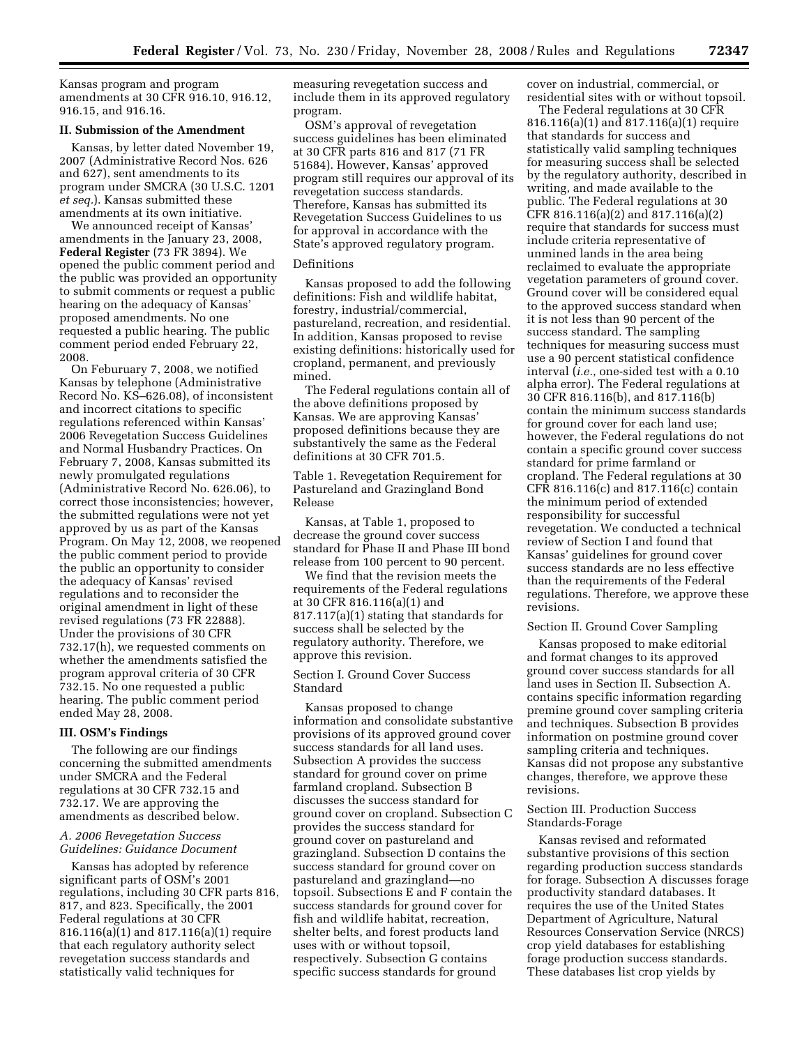Kansas program and program amendments at 30 CFR 916.10, 916.12, 916.15, and 916.16.

# **II. Submission of the Amendment**

Kansas, by letter dated November 19, 2007 (Administrative Record Nos. 626 and 627), sent amendments to its program under SMCRA (30 U.S.C. 1201 *et seq.*). Kansas submitted these amendments at its own initiative.

We announced receipt of Kansas' amendments in the January 23, 2008, **Federal Register** (73 FR 3894). We opened the public comment period and the public was provided an opportunity to submit comments or request a public hearing on the adequacy of Kansas' proposed amendments. No one requested a public hearing. The public comment period ended February 22, 2008.

On Feburuary 7, 2008, we notified Kansas by telephone (Administrative Record No. KS–626.08), of inconsistent and incorrect citations to specific regulations referenced within Kansas' 2006 Revegetation Success Guidelines and Normal Husbandry Practices. On February 7, 2008, Kansas submitted its newly promulgated regulations (Administrative Record No. 626.06), to correct those inconsistencies; however, the submitted regulations were not yet approved by us as part of the Kansas Program. On May 12, 2008, we reopened the public comment period to provide the public an opportunity to consider the adequacy of Kansas' revised regulations and to reconsider the original amendment in light of these revised regulations (73 FR 22888). Under the provisions of 30 CFR 732.17(h), we requested comments on whether the amendments satisfied the program approval criteria of 30 CFR 732.15. No one requested a public hearing. The public comment period ended May 28, 2008.

### **III. OSM's Findings**

The following are our findings concerning the submitted amendments under SMCRA and the Federal regulations at 30 CFR 732.15 and 732.17. We are approving the amendments as described below.

### *A. 2006 Revegetation Success Guidelines: Guidance Document*

Kansas has adopted by reference significant parts of OSM's 2001 regulations, including 30 CFR parts 816, 817, and 823. Specifically, the 2001 Federal regulations at 30 CFR 816.116(a)(1) and 817.116(a)(1) require that each regulatory authority select revegetation success standards and statistically valid techniques for

measuring revegetation success and include them in its approved regulatory program.

OSM's approval of revegetation success guidelines has been eliminated at 30 CFR parts 816 and 817 (71 FR 51684). However, Kansas' approved program still requires our approval of its revegetation success standards. Therefore, Kansas has submitted its Revegetation Success Guidelines to us for approval in accordance with the State's approved regulatory program.

#### Definitions

Kansas proposed to add the following definitions: Fish and wildlife habitat, forestry, industrial/commercial, pastureland, recreation, and residential. In addition, Kansas proposed to revise existing definitions: historically used for cropland, permanent, and previously mined.

The Federal regulations contain all of the above definitions proposed by Kansas. We are approving Kansas' proposed definitions because they are substantively the same as the Federal definitions at 30 CFR 701.5.

Table 1. Revegetation Requirement for Pastureland and Grazingland Bond Release

Kansas, at Table 1, proposed to decrease the ground cover success standard for Phase II and Phase III bond release from 100 percent to 90 percent.

We find that the revision meets the requirements of the Federal regulations at 30 CFR 816.116(a)(1) and 817.117(a)(1) stating that standards for success shall be selected by the regulatory authority. Therefore, we approve this revision.

Section I. Ground Cover Success Standard

Kansas proposed to change information and consolidate substantive provisions of its approved ground cover success standards for all land uses. Subsection A provides the success standard for ground cover on prime farmland cropland. Subsection B discusses the success standard for ground cover on cropland. Subsection C provides the success standard for ground cover on pastureland and grazingland. Subsection D contains the success standard for ground cover on pastureland and grazingland—no topsoil. Subsections E and F contain the success standards for ground cover for fish and wildlife habitat, recreation, shelter belts, and forest products land uses with or without topsoil, respectively. Subsection G contains specific success standards for ground

cover on industrial, commercial, or residential sites with or without topsoil.

The Federal regulations at 30 CFR 816.116(a)(1) and 817.116(a)(1) require that standards for success and statistically valid sampling techniques for measuring success shall be selected by the regulatory authority, described in writing, and made available to the public. The Federal regulations at 30 CFR 816.116(a)(2) and 817.116(a)(2) require that standards for success must include criteria representative of unmined lands in the area being reclaimed to evaluate the appropriate vegetation parameters of ground cover. Ground cover will be considered equal to the approved success standard when it is not less than 90 percent of the success standard. The sampling techniques for measuring success must use a 90 percent statistical confidence interval (*i.e.*, one-sided test with a 0.10 alpha error). The Federal regulations at 30 CFR 816.116(b), and 817.116(b) contain the minimum success standards for ground cover for each land use; however, the Federal regulations do not contain a specific ground cover success standard for prime farmland or cropland. The Federal regulations at 30 CFR 816.116(c) and 817.116(c) contain the minimum period of extended responsibility for successful revegetation. We conducted a technical review of Section I and found that Kansas' guidelines for ground cover success standards are no less effective than the requirements of the Federal regulations. Therefore, we approve these revisions.

### Section II. Ground Cover Sampling

Kansas proposed to make editorial and format changes to its approved ground cover success standards for all land uses in Section II. Subsection A. contains specific information regarding premine ground cover sampling criteria and techniques. Subsection B provides information on postmine ground cover sampling criteria and techniques. Kansas did not propose any substantive changes, therefore, we approve these revisions.

### Section III. Production Success Standards-Forage

Kansas revised and reformated substantive provisions of this section regarding production success standards for forage. Subsection A discusses forage productivity standard databases. It requires the use of the United States Department of Agriculture, Natural Resources Conservation Service (NRCS) crop yield databases for establishing forage production success standards. These databases list crop yields by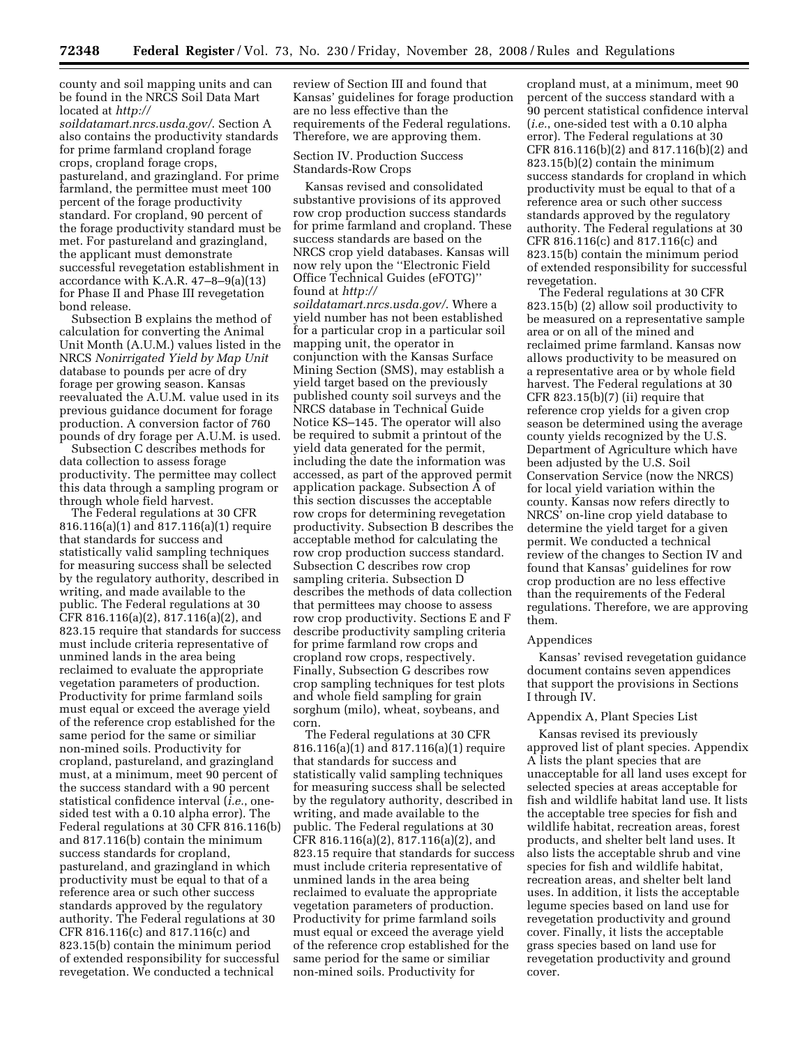county and soil mapping units and can be found in the NRCS Soil Data Mart located at *http://* 

*soildatamart.nrcs.usda.gov/*. Section A also contains the productivity standards for prime farmland cropland forage crops, cropland forage crops, pastureland, and grazingland. For prime farmland, the permittee must meet 100 percent of the forage productivity standard. For cropland, 90 percent of the forage productivity standard must be met. For pastureland and grazingland, the applicant must demonstrate successful revegetation establishment in accordance with K.A.R.  $47-8-9(a)(13)$ for Phase II and Phase III revegetation bond release.

Subsection B explains the method of calculation for converting the Animal Unit Month (A.U.M.) values listed in the NRCS *Nonirrigated Yield by Map Unit*  database to pounds per acre of dry forage per growing season. Kansas reevaluated the A.U.M. value used in its previous guidance document for forage production. A conversion factor of 760 pounds of dry forage per A.U.M. is used.

Subsection C describes methods for data collection to assess forage productivity. The permittee may collect this data through a sampling program or through whole field harvest.

The Federal regulations at 30 CFR 816.116(a)(1) and 817.116(a)(1) require that standards for success and statistically valid sampling techniques for measuring success shall be selected by the regulatory authority, described in writing, and made available to the public. The Federal regulations at 30 CFR 816.116(a)(2), 817.116(a)(2), and 823.15 require that standards for success must include criteria representative of unmined lands in the area being reclaimed to evaluate the appropriate vegetation parameters of production. Productivity for prime farmland soils must equal or exceed the average yield of the reference crop established for the same period for the same or similiar non-mined soils. Productivity for cropland, pastureland, and grazingland must, at a minimum, meet 90 percent of the success standard with a 90 percent statistical confidence interval (*i.e.*, onesided test with a 0.10 alpha error). The Federal regulations at 30 CFR 816.116(b) and 817.116(b) contain the minimum success standards for cropland, pastureland, and grazingland in which productivity must be equal to that of a reference area or such other success standards approved by the regulatory authority. The Federal regulations at 30 CFR 816.116(c) and 817.116(c) and 823.15(b) contain the minimum period of extended responsibility for successful revegetation. We conducted a technical

review of Section III and found that Kansas' guidelines for forage production are no less effective than the requirements of the Federal regulations. Therefore, we are approving them.

Section IV. Production Success Standards-Row Crops

Kansas revised and consolidated substantive provisions of its approved row crop production success standards for prime farmland and cropland. These success standards are based on the NRCS crop yield databases. Kansas will now rely upon the ''Electronic Field Office Technical Guides (eFOTG)'' found at *http://* 

*soildatamart.nrcs.usda.gov/*. Where a yield number has not been established for a particular crop in a particular soil mapping unit, the operator in conjunction with the Kansas Surface Mining Section (SMS), may establish a yield target based on the previously published county soil surveys and the NRCS database in Technical Guide Notice KS–145. The operator will also be required to submit a printout of the yield data generated for the permit, including the date the information was accessed, as part of the approved permit application package. Subsection A of this section discusses the acceptable row crops for determining revegetation productivity. Subsection B describes the acceptable method for calculating the row crop production success standard. Subsection C describes row crop sampling criteria. Subsection D describes the methods of data collection that permittees may choose to assess row crop productivity. Sections E and F describe productivity sampling criteria for prime farmland row crops and cropland row crops, respectively. Finally, Subsection G describes row crop sampling techniques for test plots and whole field sampling for grain sorghum (milo), wheat, soybeans, and corn.

The Federal regulations at 30 CFR 816.116(a)(1) and 817.116(a)(1) require that standards for success and statistically valid sampling techniques for measuring success shall be selected by the regulatory authority, described in writing, and made available to the public. The Federal regulations at 30 CFR 816.116(a)(2), 817.116(a)(2), and 823.15 require that standards for success must include criteria representative of unmined lands in the area being reclaimed to evaluate the appropriate vegetation parameters of production. Productivity for prime farmland soils must equal or exceed the average yield of the reference crop established for the same period for the same or similiar non-mined soils. Productivity for

cropland must, at a minimum, meet 90 percent of the success standard with a 90 percent statistical confidence interval (*i.e.*, one-sided test with a 0.10 alpha error). The Federal regulations at 30 CFR 816.116(b)(2) and 817.116(b)(2) and 823.15(b)(2) contain the minimum success standards for cropland in which productivity must be equal to that of a reference area or such other success standards approved by the regulatory authority. The Federal regulations at 30 CFR 816.116(c) and 817.116(c) and 823.15(b) contain the minimum period of extended responsibility for successful revegetation.

The Federal regulations at 30 CFR 823.15(b) (2) allow soil productivity to be measured on a representative sample area or on all of the mined and reclaimed prime farmland. Kansas now allows productivity to be measured on a representative area or by whole field harvest. The Federal regulations at 30 CFR  $823.15(b)(7)$  (ii) require that reference crop yields for a given crop season be determined using the average county yields recognized by the U.S. Department of Agriculture which have been adjusted by the U.S. Soil Conservation Service (now the NRCS) for local yield variation within the county. Kansas now refers directly to NRCS' on-line crop yield database to determine the yield target for a given permit. We conducted a technical review of the changes to Section IV and found that Kansas' guidelines for row crop production are no less effective than the requirements of the Federal regulations. Therefore, we are approving them.

#### Appendices

Kansas' revised revegetation guidance document contains seven appendices that support the provisions in Sections I through IV.

## Appendix A, Plant Species List

Kansas revised its previously approved list of plant species. Appendix A lists the plant species that are unacceptable for all land uses except for selected species at areas acceptable for fish and wildlife habitat land use. It lists the acceptable tree species for fish and wildlife habitat, recreation areas, forest products, and shelter belt land uses. It also lists the acceptable shrub and vine species for fish and wildlife habitat, recreation areas, and shelter belt land uses. In addition, it lists the acceptable legume species based on land use for revegetation productivity and ground cover. Finally, it lists the acceptable grass species based on land use for revegetation productivity and ground cover.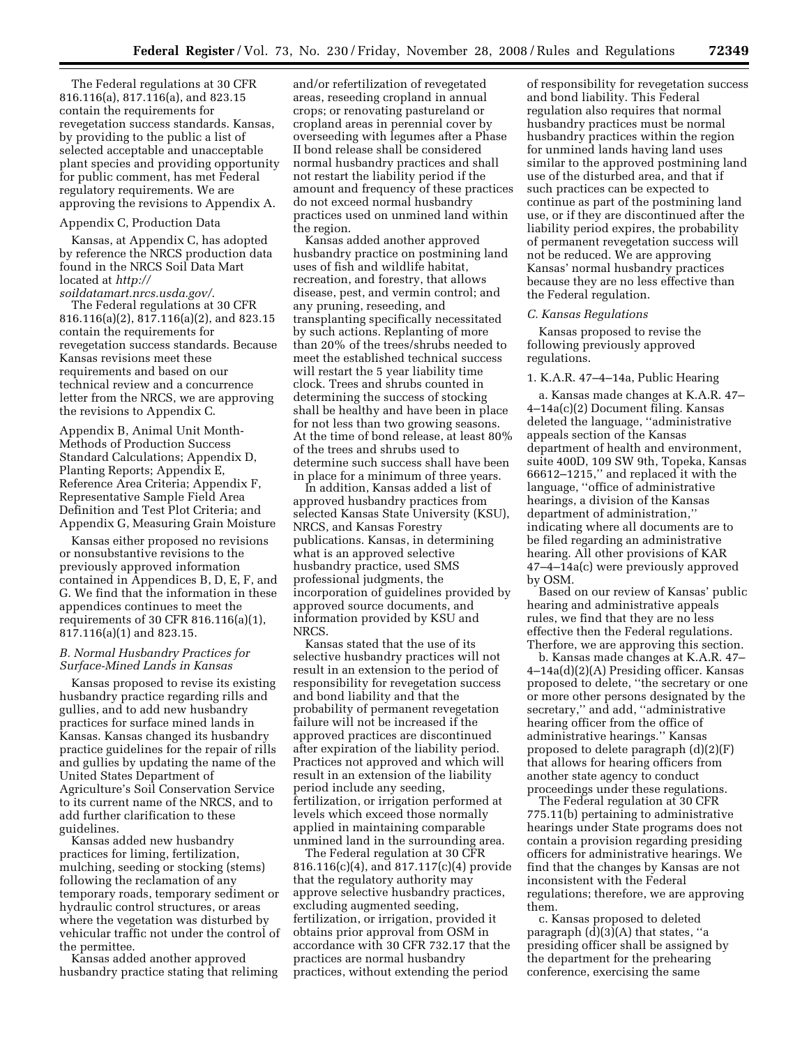The Federal regulations at 30 CFR 816.116(a), 817.116(a), and 823.15 contain the requirements for revegetation success standards. Kansas, by providing to the public a list of selected acceptable and unacceptable plant species and providing opportunity for public comment, has met Federal regulatory requirements. We are approving the revisions to Appendix A.

### Appendix C, Production Data

Kansas, at Appendix C, has adopted by reference the NRCS production data found in the NRCS Soil Data Mart located at *http://* 

*soildatamart.nrcs.usda.gov/*. The Federal regulations at 30 CFR 816.116(a)(2), 817.116(a)(2), and 823.15 contain the requirements for revegetation success standards. Because Kansas revisions meet these requirements and based on our technical review and a concurrence letter from the NRCS, we are approving the revisions to Appendix C.

Appendix B, Animal Unit Month-Methods of Production Success Standard Calculations; Appendix D, Planting Reports; Appendix E, Reference Area Criteria; Appendix F, Representative Sample Field Area Definition and Test Plot Criteria; and Appendix G, Measuring Grain Moisture

Kansas either proposed no revisions or nonsubstantive revisions to the previously approved information contained in Appendices B, D, E, F, and G. We find that the information in these appendices continues to meet the requirements of 30 CFR 816.116(a)(1), 817.116(a)(1) and 823.15.

# *B. Normal Husbandry Practices for Surface-Mined Lands in Kansas*

Kansas proposed to revise its existing husbandry practice regarding rills and gullies, and to add new husbandry practices for surface mined lands in Kansas. Kansas changed its husbandry practice guidelines for the repair of rills and gullies by updating the name of the United States Department of Agriculture's Soil Conservation Service to its current name of the NRCS, and to add further clarification to these guidelines.

Kansas added new husbandry practices for liming, fertilization, mulching, seeding or stocking (stems) following the reclamation of any temporary roads, temporary sediment or hydraulic control structures, or areas where the vegetation was disturbed by vehicular traffic not under the control of the permittee.

Kansas added another approved husbandry practice stating that reliming

and/or refertilization of revegetated areas, reseeding cropland in annual crops; or renovating pastureland or cropland areas in perennial cover by overseeding with legumes after a Phase II bond release shall be considered normal husbandry practices and shall not restart the liability period if the amount and frequency of these practices do not exceed normal husbandry practices used on unmined land within the region.

Kansas added another approved husbandry practice on postmining land uses of fish and wildlife habitat, recreation, and forestry, that allows disease, pest, and vermin control; and any pruning, reseeding, and transplanting specifically necessitated by such actions. Replanting of more than 20% of the trees/shrubs needed to meet the established technical success will restart the 5 year liability time clock. Trees and shrubs counted in determining the success of stocking shall be healthy and have been in place for not less than two growing seasons. At the time of bond release, at least 80% of the trees and shrubs used to determine such success shall have been in place for a minimum of three years.

In addition, Kansas added a list of approved husbandry practices from selected Kansas State University (KSU), NRCS, and Kansas Forestry publications. Kansas, in determining what is an approved selective husbandry practice, used SMS professional judgments, the incorporation of guidelines provided by approved source documents, and information provided by KSU and NRCS.

Kansas stated that the use of its selective husbandry practices will not result in an extension to the period of responsibility for revegetation success and bond liability and that the probability of permanent revegetation failure will not be increased if the approved practices are discontinued after expiration of the liability period. Practices not approved and which will result in an extension of the liability period include any seeding, fertilization, or irrigation performed at levels which exceed those normally applied in maintaining comparable unmined land in the surrounding area.

The Federal regulation at 30 CFR 816.116(c)(4), and 817.117(c)(4) provide that the regulatory authority may approve selective husbandry practices, excluding augmented seeding, fertilization, or irrigation, provided it obtains prior approval from OSM in accordance with 30 CFR 732.17 that the practices are normal husbandry practices, without extending the period

of responsibility for revegetation success and bond liability. This Federal regulation also requires that normal husbandry practices must be normal husbandry practices within the region for unmined lands having land uses similar to the approved postmining land use of the disturbed area, and that if such practices can be expected to continue as part of the postmining land use, or if they are discontinued after the liability period expires, the probability of permanent revegetation success will not be reduced. We are approving Kansas' normal husbandry practices because they are no less effective than the Federal regulation.

#### *C. Kansas Regulations*

Kansas proposed to revise the following previously approved regulations.

#### 1. K.A.R. 47–4–14a, Public Hearing

a. Kansas made changes at K.A.R. 47– 4–14a(c)(2) Document filing. Kansas deleted the language, ''administrative appeals section of the Kansas department of health and environment, suite 400D, 109 SW 9th, Topeka, Kansas 66612–1215,'' and replaced it with the language, ''office of administrative hearings, a division of the Kansas department of administration,'' indicating where all documents are to be filed regarding an administrative hearing. All other provisions of KAR 47–4–14a(c) were previously approved by OSM.

Based on our review of Kansas' public hearing and administrative appeals rules, we find that they are no less effective then the Federal regulations. Therfore, we are approving this section.

b. Kansas made changes at K.A.R. 47– 4–14a(d)(2)(A) Presiding officer. Kansas proposed to delete, ''the secretary or one or more other persons designated by the secretary,'' and add, ''administrative hearing officer from the office of administrative hearings.'' Kansas proposed to delete paragraph (d)(2)(F) that allows for hearing officers from another state agency to conduct proceedings under these regulations.

The Federal regulation at 30 CFR 775.11(b) pertaining to administrative hearings under State programs does not contain a provision regarding presiding officers for administrative hearings. We find that the changes by Kansas are not inconsistent with the Federal regulations; therefore, we are approving them.

c. Kansas proposed to deleted paragraph  $(d)(3)(A)$  that states, "a presiding officer shall be assigned by the department for the prehearing conference, exercising the same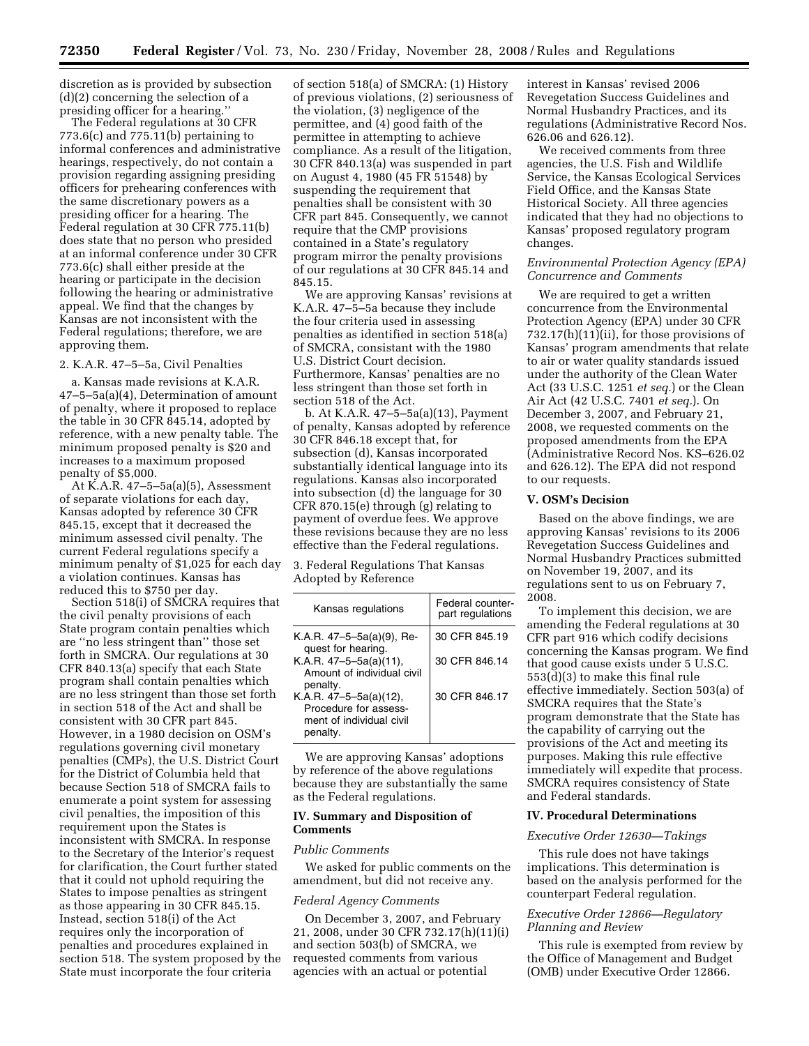discretion as is provided by subsection (d)(2) concerning the selection of a presiding officer for a hearing.''

The Federal regulations at 30 CFR 773.6(c) and 775.11(b) pertaining to informal conferences and administrative hearings, respectively, do not contain a provision regarding assigning presiding officers for prehearing conferences with the same discretionary powers as a presiding officer for a hearing. The Federal regulation at 30 CFR 775.11(b) does state that no person who presided at an informal conference under 30 CFR 773.6(c) shall either preside at the hearing or participate in the decision following the hearing or administrative appeal. We find that the changes by Kansas are not inconsistent with the Federal regulations; therefore, we are approving them.

2. K.A.R. 47–5–5a, Civil Penalties

a. Kansas made revisions at K.A.R. 47–5–5a(a)(4), Determination of amount of penalty, where it proposed to replace the table in 30 CFR 845.14, adopted by reference, with a new penalty table. The minimum proposed penalty is \$20 and increases to a maximum proposed penalty of \$5,000.

At K.A.R. 47–5–5a(a)(5), Assessment of separate violations for each day, Kansas adopted by reference 30 CFR 845.15, except that it decreased the minimum assessed civil penalty. The current Federal regulations specify a minimum penalty of \$1,025 for each day a violation continues. Kansas has reduced this to \$750 per day.

Section 518(i) of SMCRA requires that the civil penalty provisions of each State program contain penalties which are ''no less stringent than'' those set forth in SMCRA. Our regulations at 30 CFR 840.13(a) specify that each State program shall contain penalties which are no less stringent than those set forth in section 518 of the Act and shall be consistent with 30 CFR part 845. However, in a 1980 decision on OSM's regulations governing civil monetary penalties (CMPs), the U.S. District Court for the District of Columbia held that because Section 518 of SMCRA fails to enumerate a point system for assessing civil penalties, the imposition of this requirement upon the States is inconsistent with SMCRA. In response to the Secretary of the Interior's request for clarification, the Court further stated that it could not uphold requiring the States to impose penalties as stringent as those appearing in 30 CFR 845.15. Instead, section 518(i) of the Act requires only the incorporation of penalties and procedures explained in section 518. The system proposed by the State must incorporate the four criteria

of section 518(a) of SMCRA: (1) History of previous violations, (2) seriousness of the violation, (3) negligence of the permittee, and (4) good faith of the permittee in attempting to achieve compliance. As a result of the litigation, 30 CFR 840.13(a) was suspended in part on August 4, 1980 (45 FR 51548) by suspending the requirement that penalties shall be consistent with 30 CFR part 845. Consequently, we cannot require that the CMP provisions contained in a State's regulatory program mirror the penalty provisions of our regulations at 30 CFR 845.14 and 845.15.

We are approving Kansas' revisions at K.A.R. 47–5–5a because they include the four criteria used in assessing penalties as identified in section 518(a) of SMCRA, consistant with the 1980 U.S. District Court decision. Furthermore, Kansas' penalties are no less stringent than those set forth in section 518 of the Act.

b. At K.A.R. 47–5–5a(a)(13), Payment of penalty, Kansas adopted by reference 30 CFR 846.18 except that, for subsection (d), Kansas incorporated substantially identical language into its regulations. Kansas also incorporated into subsection (d) the language for 30 CFR 870.15(e) through (g) relating to payment of overdue fees. We approve these revisions because they are no less effective than the Federal regulations.

3. Federal Regulations That Kansas Adopted by Reference

| Kansas regulations                                                                      | Federal counter-<br>part regulations |
|-----------------------------------------------------------------------------------------|--------------------------------------|
| K.A.R. 47–5–5a(a)(9), Re-<br>quest for hearing.                                         | 30 CFR 845.19                        |
| K.A.R. 47-5-5a(a)(11),<br>Amount of individual civil<br>penalty.                        | 30 CFR 846.14                        |
| K.A.R. 47-5-5a(a)(12),<br>Procedure for assess-<br>ment of individual civil<br>penalty. | 30 CFR 846.17                        |

We are approving Kansas' adoptions by reference of the above regulations because they are substantially the same as the Federal regulations.

### **IV. Summary and Disposition of Comments**

### *Public Comments*

We asked for public comments on the amendment, but did not receive any.

#### *Federal Agency Comments*

On December 3, 2007, and February 21, 2008, under 30 CFR 732.17(h)(11)(i) and section 503(b) of SMCRA, we requested comments from various agencies with an actual or potential

interest in Kansas' revised 2006 Revegetation Success Guidelines and Normal Husbandry Practices, and its regulations (Administrative Record Nos. 626.06 and 626.12).

We received comments from three agencies, the U.S. Fish and Wildlife Service, the Kansas Ecological Services Field Office, and the Kansas State Historical Society. All three agencies indicated that they had no objections to Kansas' proposed regulatory program changes.

#### *Environmental Protection Agency (EPA) Concurrence and Comments*

We are required to get a written concurrence from the Environmental Protection Agency (EPA) under 30 CFR 732.17(h)(11)(ii), for those provisions of Kansas' program amendments that relate to air or water quality standards issued under the authority of the Clean Water Act (33 U.S.C. 1251 *et seq.*) or the Clean Air Act (42 U.S.C. 7401 *et seq.*). On December 3, 2007, and February 21, 2008, we requested comments on the proposed amendments from the EPA (Administrative Record Nos. KS–626.02 and 626.12). The EPA did not respond to our requests.

#### **V. OSM's Decision**

Based on the above findings, we are approving Kansas' revisions to its 2006 Revegetation Success Guidelines and Normal Husbandry Practices submitted on November 19, 2007, and its regulations sent to us on February 7, 2008.

To implement this decision, we are amending the Federal regulations at 30 CFR part 916 which codify decisions concerning the Kansas program. We find that good cause exists under 5 U.S.C. 553(d)(3) to make this final rule effective immediately. Section 503(a) of SMCRA requires that the State's program demonstrate that the State has the capability of carrying out the provisions of the Act and meeting its purposes. Making this rule effective immediately will expedite that process. SMCRA requires consistency of State and Federal standards.

#### **IV. Procedural Determinations**

#### *Executive Order 12630—Takings*

This rule does not have takings implications. This determination is based on the analysis performed for the counterpart Federal regulation.

# *Executive Order 12866—Regulatory Planning and Review*

This rule is exempted from review by the Office of Management and Budget (OMB) under Executive Order 12866.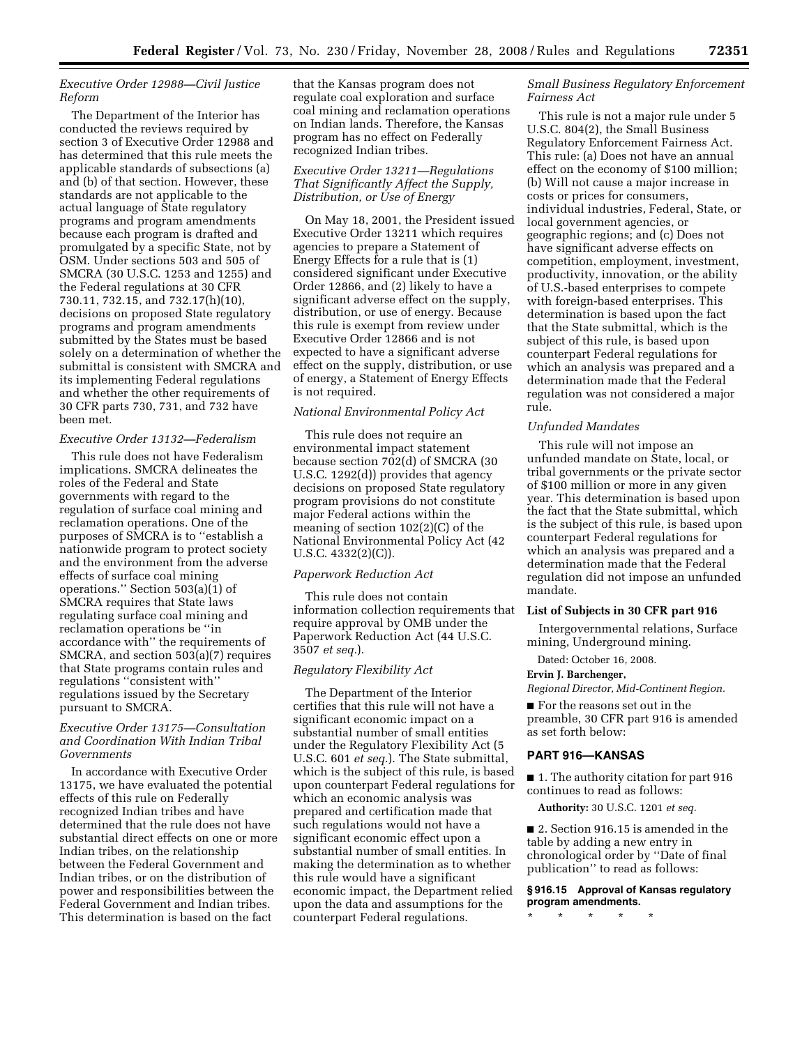## *Executive Order 12988—Civil Justice Reform*

The Department of the Interior has conducted the reviews required by section 3 of Executive Order 12988 and has determined that this rule meets the applicable standards of subsections (a) and (b) of that section. However, these standards are not applicable to the actual language of State regulatory programs and program amendments because each program is drafted and promulgated by a specific State, not by OSM. Under sections 503 and 505 of SMCRA (30 U.S.C. 1253 and 1255) and the Federal regulations at 30 CFR 730.11, 732.15, and 732.17(h)(10), decisions on proposed State regulatory programs and program amendments submitted by the States must be based solely on a determination of whether the submittal is consistent with SMCRA and its implementing Federal regulations and whether the other requirements of 30 CFR parts 730, 731, and 732 have been met.

#### *Executive Order 13132—Federalism*

This rule does not have Federalism implications. SMCRA delineates the roles of the Federal and State governments with regard to the regulation of surface coal mining and reclamation operations. One of the purposes of SMCRA is to ''establish a nationwide program to protect society and the environment from the adverse effects of surface coal mining operations." Section  $503(a)(1)$  of SMCRA requires that State laws regulating surface coal mining and reclamation operations be ''in accordance with'' the requirements of SMCRA, and section 503(a)(7) requires that State programs contain rules and regulations ''consistent with'' regulations issued by the Secretary pursuant to SMCRA.

## *Executive Order 13175—Consultation and Coordination With Indian Tribal Governments*

In accordance with Executive Order 13175, we have evaluated the potential effects of this rule on Federally recognized Indian tribes and have determined that the rule does not have substantial direct effects on one or more Indian tribes, on the relationship between the Federal Government and Indian tribes, or on the distribution of power and responsibilities between the Federal Government and Indian tribes. This determination is based on the fact

that the Kansas program does not regulate coal exploration and surface coal mining and reclamation operations on Indian lands. Therefore, the Kansas program has no effect on Federally recognized Indian tribes.

### *Executive Order 13211—Regulations That Significantly Affect the Supply, Distribution, or Use of Energy*

On May 18, 2001, the President issued Executive Order 13211 which requires agencies to prepare a Statement of Energy Effects for a rule that is (1) considered significant under Executive Order 12866, and (2) likely to have a significant adverse effect on the supply, distribution, or use of energy. Because this rule is exempt from review under Executive Order 12866 and is not expected to have a significant adverse effect on the supply, distribution, or use of energy, a Statement of Energy Effects is not required.

# *National Environmental Policy Act*

This rule does not require an environmental impact statement because section 702(d) of SMCRA (30 U.S.C. 1292(d)) provides that agency decisions on proposed State regulatory program provisions do not constitute major Federal actions within the meaning of section 102(2)(C) of the National Environmental Policy Act (42 U.S.C. 4332(2)(C)).

### *Paperwork Reduction Act*

This rule does not contain information collection requirements that require approval by OMB under the Paperwork Reduction Act (44 U.S.C. 3507 *et seq.*).

#### *Regulatory Flexibility Act*

The Department of the Interior certifies that this rule will not have a significant economic impact on a substantial number of small entities under the Regulatory Flexibility Act (5 U.S.C. 601 *et seq.*). The State submittal, which is the subject of this rule, is based upon counterpart Federal regulations for which an economic analysis was prepared and certification made that such regulations would not have a significant economic effect upon a substantial number of small entities. In making the determination as to whether this rule would have a significant economic impact, the Department relied upon the data and assumptions for the counterpart Federal regulations.

## *Small Business Regulatory Enforcement Fairness Act*

This rule is not a major rule under 5 U.S.C. 804(2), the Small Business Regulatory Enforcement Fairness Act. This rule: (a) Does not have an annual effect on the economy of \$100 million; (b) Will not cause a major increase in costs or prices for consumers, individual industries, Federal, State, or local government agencies, or geographic regions; and (c) Does not have significant adverse effects on competition, employment, investment, productivity, innovation, or the ability of U.S.-based enterprises to compete with foreign-based enterprises. This determination is based upon the fact that the State submittal, which is the subject of this rule, is based upon counterpart Federal regulations for which an analysis was prepared and a determination made that the Federal regulation was not considered a major rule.

#### *Unfunded Mandates*

This rule will not impose an unfunded mandate on State, local, or tribal governments or the private sector of \$100 million or more in any given year. This determination is based upon the fact that the State submittal, which is the subject of this rule, is based upon counterpart Federal regulations for which an analysis was prepared and a determination made that the Federal regulation did not impose an unfunded mandate.

### **List of Subjects in 30 CFR part 916**

Intergovernmental relations, Surface mining, Underground mining.

Dated: October 16, 2008.

### **Ervin J. Barchenger,**

*Regional Director, Mid-Continent Region.* 

■ For the reasons set out in the preamble, 30 CFR part 916 is amended as set forth below:

#### **PART 916—KANSAS**

■ 1. The authority citation for part 916 continues to read as follows:

**Authority:** 30 U.S.C. 1201 *et seq.* 

■ 2. Section 916.15 is amended in the table by adding a new entry in chronological order by ''Date of final publication'' to read as follows:

## **§ 916.15 Approval of Kansas regulatory program amendments.**

\* \* \* \* \*